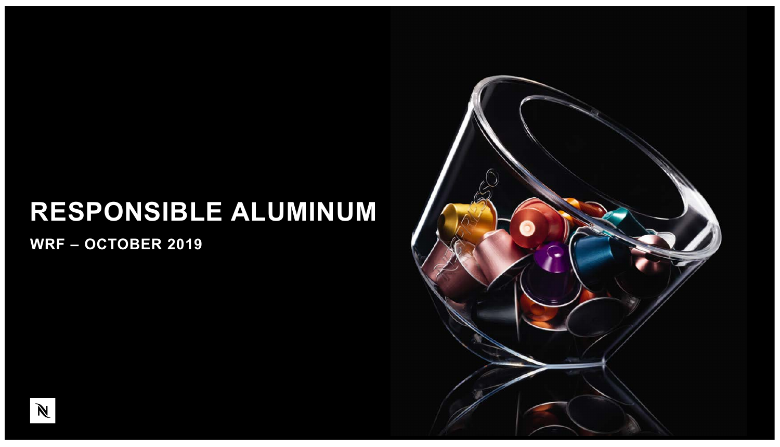### **RESPONSIBLE ALUMINUM**

**WRF – OCTOBER 2019**



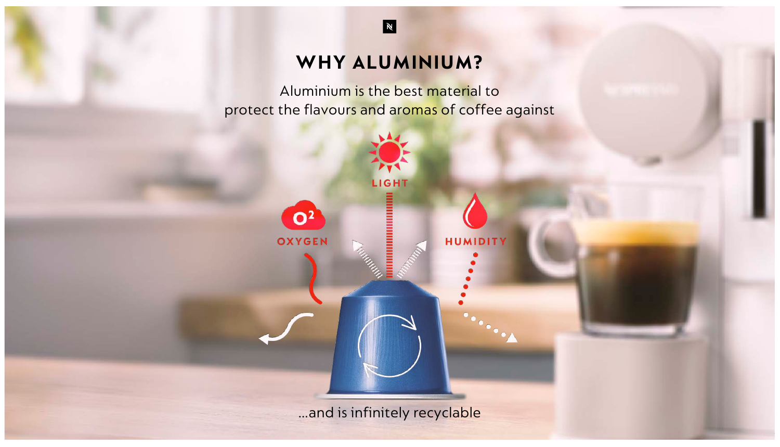#### WHY ALUMINIUM?

 $\blacksquare$ 

Aluminium is the best material to protect the flavours and aromas of coffee against

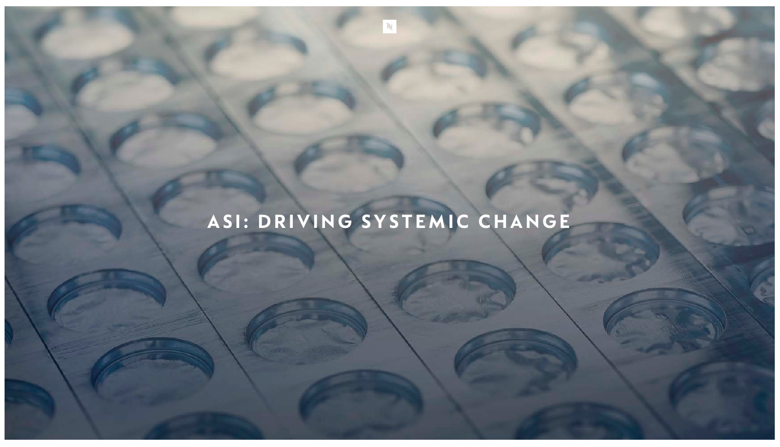## ASI: DRIVING SYSTEMIC CHANGE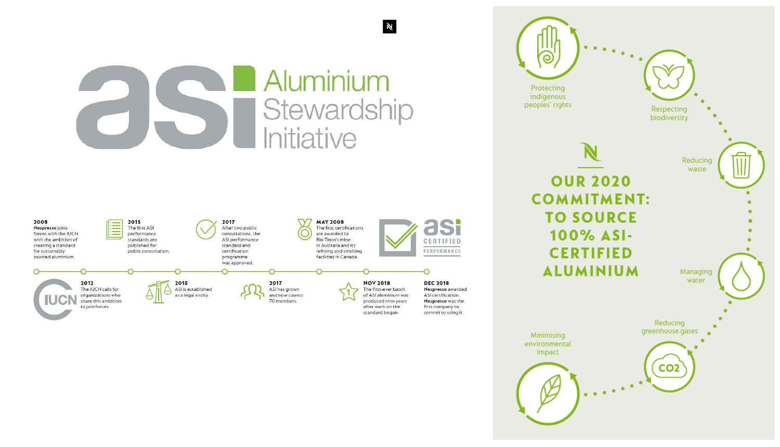### Aluminium Stewardship Initiative

 $\mathbb{N}$ 



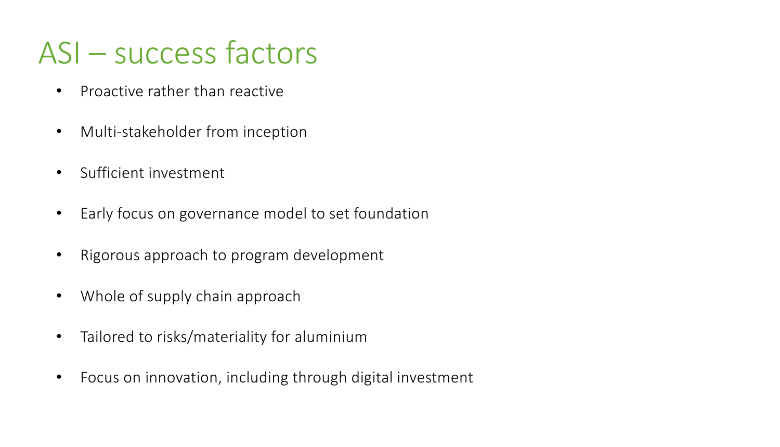# ASI – success factors

- Proactive rather than reactive
- Multi-stakeholder from inception
- Sufficient investment
- Early focus on governance model to set foundation
- Rigorous approach to program development
- Whole of supply chain approach
- Tailored to risks/materiality for aluminium
- Focus on innovation, including through digital investment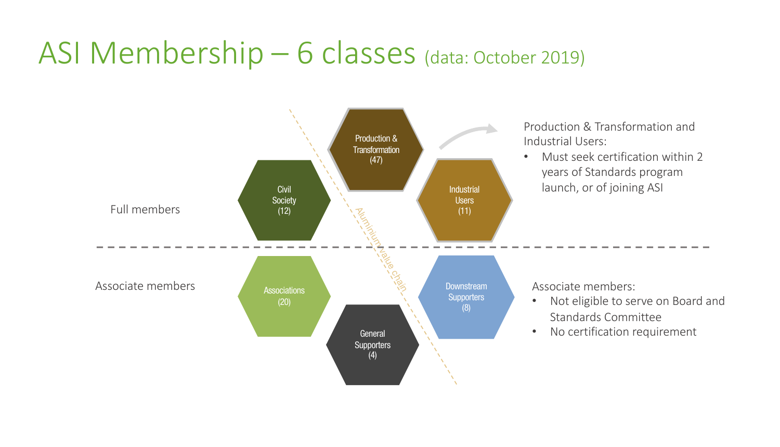# ASI Membership – 6 classes (data: October 2019)

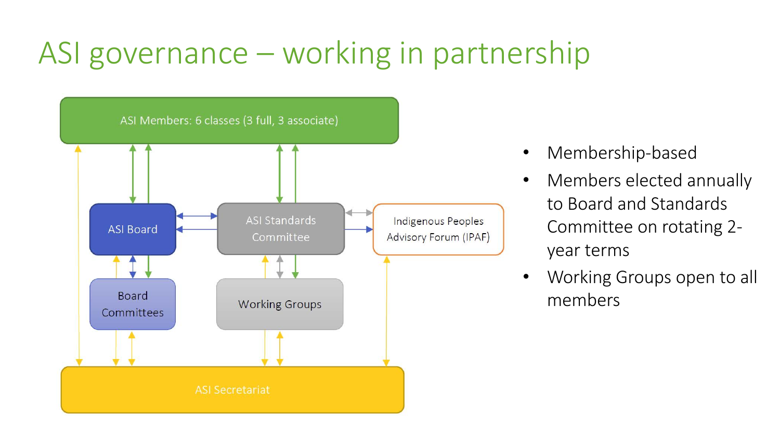# ASI governance – working in partnership



- Membership-based
- Members elected annually to Board and Standards Committee on rotating 2 year terms
- Working Groups open to all members